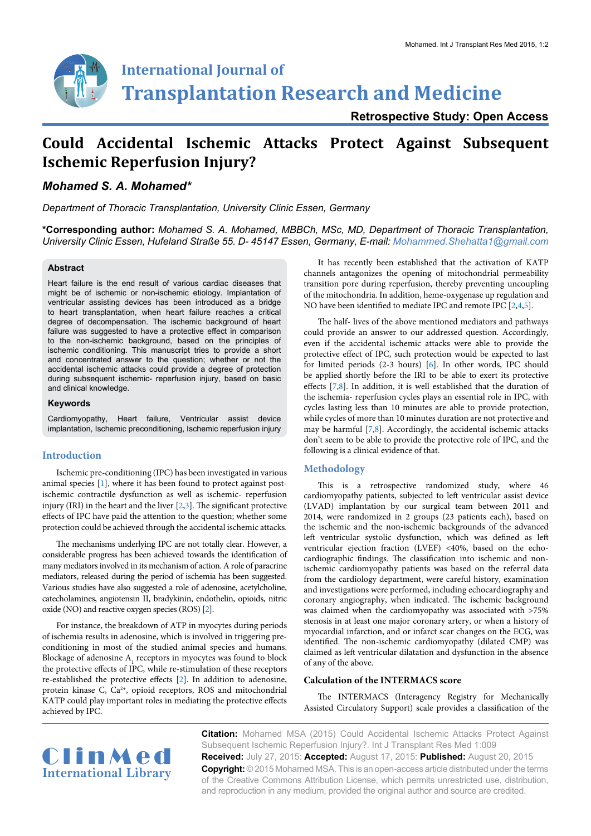

**Retrospective Study: Open Access**

# **Could Accidental Ischemic Attacks Protect Against Subsequent Ischemic Reperfusion Injury?**

# *Mohamed S. A. Mohamed\**

*Department of Thoracic Transplantation, University Clinic Essen, Germany*

**\*Corresponding author:** *Mohamed S. A. Mohamed, MBBCh, MSc, MD, Department of Thoracic Transplantation, University Clinic Essen, Hufeland Straße 55. D- 45147 Essen, Germany, E-mail: Mohammed.Shehatta1@gmail.com*

#### **Abstract**

Heart failure is the end result of various cardiac diseases that might be of ischemic or non-ischemic etiology. Implantation of ventricular assisting devices has been introduced as a bridge to heart transplantation, when heart failure reaches a critical degree of decompensation. The ischemic background of heart failure was suggested to have a protective effect in comparison to the non-ischemic background, based on the principles of ischemic conditioning. This manuscript tries to provide a short and concentrated answer to the question; whether or not the accidental ischemic attacks could provide a degree of protection during subsequent ischemic- reperfusion injury, based on basic and clinical knowledge.

#### **Keywords**

Cardiomyopathy, Heart failure, Ventricular assist device implantation, Ischemic preconditioning, Ischemic reperfusion injury

## **Introduction**

Ischemic pre-conditioning (IPC) has been investigated in various animal species [[1](#page-3-0)], where it has been found to protect against postischemic contractile dysfunction as well as ischemic- reperfusion injury (IRI) in the heart and the liver  $[2,3]$  $[2,3]$ . The significant protective effects of IPC have paid the attention to the question; whether some protection could be achieved through the accidental ischemic attacks.

The mechanisms underlying IPC are not totally clear. However, a considerable progress has been achieved towards the identification of many mediators involved in its mechanism of action. A role of paracrine mediators, released during the period of ischemia has been suggested. Various studies have also suggested a role of adenosine, acetylcholine, catecholamines, angiotensin II, bradykinin, endothelin, opioids, nitric oxide (NO) and reactive oxygen species (ROS) [[2\]](#page-3-1).

For instance, the breakdown of ATP in myocytes during periods of ischemia results in adenosine, which is involved in triggering preconditioning in most of the studied animal species and humans. Blockage of adenosine  $A_1$  receptors in myocytes was found to block the protective effects of IPC, while re-stimulation of these receptors re-established the protective effects [[2\]](#page-3-1). In addition to adenosine, protein kinase C, Ca<sup>2+</sup>, opioid receptors, ROS and mitochondrial KATP could play important roles in mediating the protective effects achieved by IPC.

It has recently been established that the activation of KATP channels antagonizes the opening of mitochondrial permeability transition pore during reperfusion, thereby preventing uncoupling of the mitochondria. In addition, heme-oxygenase up regulation and NO have been identified to mediate IPC and remote IPC [\[2,](#page-3-1)[4,](#page-3-3)[5](#page-3-4)].

The half- lives of the above mentioned mediators and pathways could provide an answer to our addressed question. Accordingly, even if the accidental ischemic attacks were able to provide the protective effect of IPC, such protection would be expected to last for limited periods (2-3 hours) [\[6\]](#page-3-5). In other words, IPC should be applied shortly before the IRI to be able to exert its protective effects [[7](#page-3-6)[,8\]](#page-4-0). In addition, it is well established that the duration of the ischemia- reperfusion cycles plays an essential role in IPC, with cycles lasting less than 10 minutes are able to provide protection, while cycles of more than 10 minutes duration are not protective and may be harmful [\[7](#page-3-6)[,8\]](#page-4-0). Accordingly, the accidental ischemic attacks don't seem to be able to provide the protective role of IPC, and the following is a clinical evidence of that.

# **Methodology**

This is a retrospective randomized study, where 46 cardiomyopathy patients, subjected to left ventricular assist device (LVAD) implantation by our surgical team between 2011 and 2014, were randomized in 2 groups (23 patients each), based on the ischemic and the non-ischemic backgrounds of the advanced left ventricular systolic dysfunction, which was defined as left ventricular ejection fraction (LVEF) <40%, based on the echocardiographic findings. The classification into ischemic and nonischemic cardiomyopathy patients was based on the referral data from the cardiology department, were careful history, examination and investigations were performed, including echocardiography and coronary angiography, when indicated. The ischemic background was claimed when the cardiomyopathy was associated with >75% stenosis in at least one major coronary artery, or when a history of myocardial infarction, and or infarct scar changes on the ECG, was identified. The non-ischemic cardiomyopathy (dilated CMP) was claimed as left ventricular dilatation and dysfunction in the absence of any of the above.

#### **Calculation of the INTERMACS score**

The INTERMACS (Interagency Registry for Mechanically Assisted Circulatory Support) scale provides a classification of the



**Citation:** Mohamed MSA (2015) Could Accidental Ischemic Attacks Protect Against Subsequent Ischemic Reperfusion Injury?. Int J Transplant Res Med 1:009 **Received:** July 27, 2015: **Accepted:** August 17, 2015: **Published:** August 20, 2015 **Copyright:** © 2015 Mohamed MSA. This is an open-access article distributed under the terms of the Creative Commons Attribution License, which permits unrestricted use, distribution, and reproduction in any medium, provided the original author and source are credited.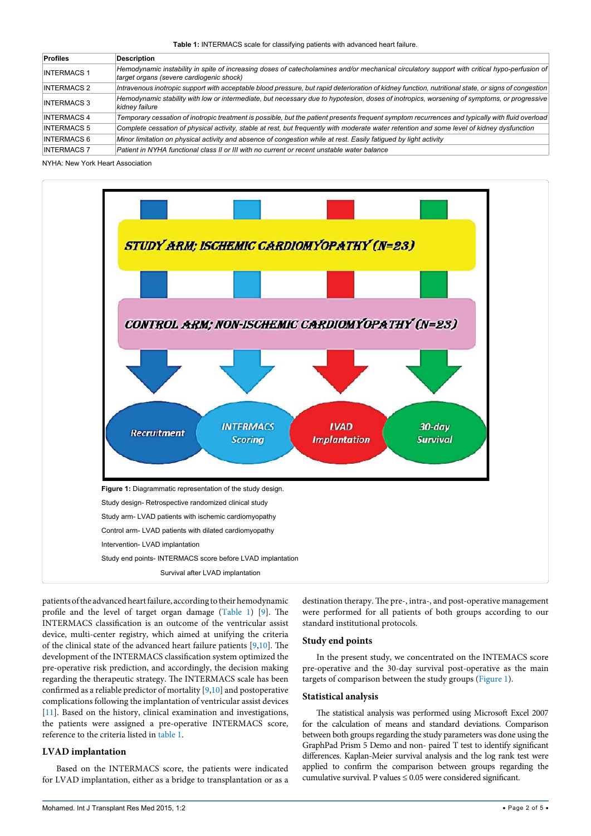<span id="page-1-0"></span>**Table 1:** INTERMACS scale for classifying patients with advanced heart failure.

| <b>Profiles</b>    | <b>Description</b>                                                                                                                                                                       |
|--------------------|------------------------------------------------------------------------------------------------------------------------------------------------------------------------------------------|
| <b>INTERMACS 1</b> | Hemodynamic instability in spite of increasing doses of catecholamines and/or mechanical circulatory support with critical hypo-perfusion of<br>target organs (severe cardiogenic shock) |
| <b>INTERMACS 2</b> | Intravenous inotropic support with acceptable blood pressure, but rapid deterioration of kidney function, nutritional state, or signs of congestion                                      |
| <b>INTERMACS 3</b> | Hemodynamic stability with low or intermediate, but necessary due to hypotesion, doses of inotropics, worsening of symptoms, or progressive<br>kidney failure                            |
| <b>INTERMACS 4</b> | Temporary cessation of inotropic treatment is possible, but the patient presents frequent symptom recurrences and typically with fluid overload                                          |
| <b>INTERMACS 5</b> | Complete cessation of physical activity, stable at rest, but frequently with moderate water retention and some level of kidney dysfunction                                               |
| <b>INTERMACS 6</b> | Minor limitation on physical activity and absence of congestion while at rest. Easily fatiqued by light activity                                                                         |
| <b>INTERMACS 7</b> | Patient in NYHA functional class II or III with no current or recent unstable water balance                                                                                              |

NYHA: New York Heart Association

<span id="page-1-1"></span>

patients of the advanced heart failure, according to their hemodynamic profile and the level of target organ damage [\(Table 1](#page-1-0)) [\[9](#page-4-1)]. The INTERMACS classification is an outcome of the ventricular assist device, multi-center registry, which aimed at unifying the criteria of the clinical state of the advanced heart failure patients [\[9,](#page-4-1)[10](#page-4-2)]. The development of the INTERMACS classification system optimized the pre-operative risk prediction, and accordingly, the decision making regarding the therapeutic strategy. The INTERMACS scale has been confirmed as a reliable predictor of mortality [[9,](#page-4-1)[10\]](#page-4-2) and postoperative complications following the implantation of ventricular assist devices [[11](#page-4-3)]. Based on the history, clinical examination and investigations, the patients were assigned a pre-operative INTERMACS score, reference to the criteria listed in [table 1](#page-1-0).

## **LVAD implantation**

Based on the INTERMACS score, the patients were indicated for LVAD implantation, either as a bridge to transplantation or as a

destination therapy. The pre-, intra-, and post-operative management were performed for all patients of both groups according to our standard institutional protocols.

#### **Study end points**

In the present study, we concentrated on the INTEMACS score pre-operative and the 30-day survival post-operative as the main targets of comparison between the study groups [\(Figure 1](#page-1-1)).

## **Statistical analysis**

The statistical analysis was performed using Microsoft Excel 2007 for the calculation of means and standard deviations. Comparison between both groups regarding the study parameters was done using the GraphPad Prism 5 Demo and non- paired T test to identify significant differences. Kaplan-Meier survival analysis and the log rank test were applied to confirm the comparison between groups regarding the cumulative survival. P values  $\leq 0.05$  were considered significant.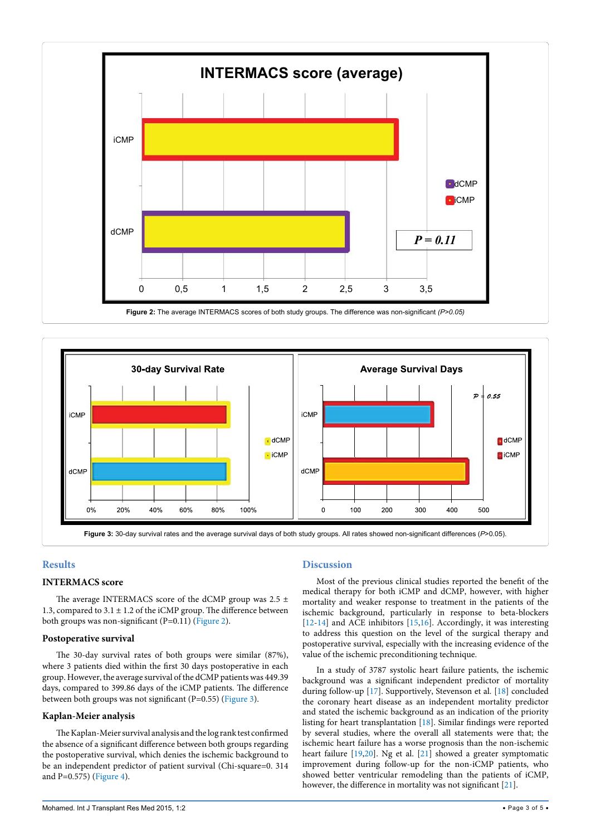<span id="page-2-0"></span>

<span id="page-2-1"></span>

# **Results**

# **INTERMACS score**

The average INTERMACS score of the dCMP group was 2.5  $\pm$ 1.3, compared to  $3.1 \pm 1.2$  of the iCMP group. The difference between both groups was non-significant (P=0.11) ([Figure 2](#page-2-0)).

## **Postoperative survival**

The 30-day survival rates of both groups were similar (87%), where 3 patients died within the first 30 days postoperative in each group. However, the average survival of the dCMP patients was 449.39 days, compared to 399.86 days of the iCMP patients. The difference between both groups was not significant (P=0.55) [\(Figure 3\)](#page-2-1).

# **Kaplan-Meier analysis**

The Kaplan-Meier survival analysis and the log rank test confirmed the absence of a significant difference between both groups regarding the postoperative survival, which denies the ischemic background to be an independent predictor of patient survival (Chi-square=0. 314 and P=0.575) [\(Figure 4\)](#page-3-7).

# **Discussion**

Most of the previous clinical studies reported the benefit of the medical therapy for both iCMP and dCMP, however, with higher mortality and weaker response to treatment in the patients of the ischemic background, particularly in response to beta-blockers [[12](#page-4-4)-[14](#page-4-5)] and ACE inhibitors [[15](#page-4-6)[,16](#page-4-7)]. Accordingly, it was interesting to address this question on the level of the surgical therapy and postoperative survival, especially with the increasing evidence of the value of the ischemic preconditioning technique.

In a study of 3787 systolic heart failure patients, the ischemic background was a significant independent predictor of mortality during follow-up [\[17](#page-4-8)]. Supportively, Stevenson et al*.* [\[18\]](#page-4-9) concluded the coronary heart disease as an independent mortality predictor and stated the ischemic background as an indication of the priority listing for heart transplantation [\[18\]](#page-4-9). Similar findings were reported by several studies, where the overall all statements were that; the ischemic heart failure has a worse prognosis than the non-ischemic heart failure [[19](#page-4-10)[,20\]](#page-4-11). Ng et al. [[21](#page-4-12)] showed a greater symptomatic improvement during follow-up for the non-iCMP patients, who showed better ventricular remodeling than the patients of iCMP, however, the difference in mortality was not significant [\[21\]](#page-4-12).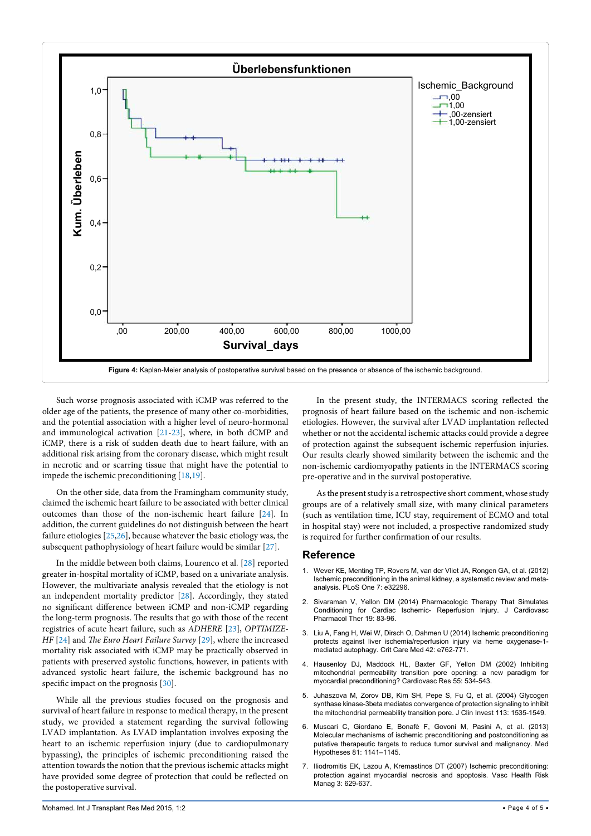<span id="page-3-7"></span>

Such worse prognosis associated with iCMP was referred to the older age of the patients, the presence of many other co-morbidities, and the potential association with a higher level of neuro-hormonal and immunological activation [[21-](#page-4-12)[23](#page-4-13)], where, in both dCMP and iCMP, there is a risk of sudden death due to heart failure, with an additional risk arising from the coronary disease, which might result in necrotic and or scarring tissue that might have the potential to impede the ischemic preconditioning [\[18](#page-4-9)[,19\]](#page-4-10).

On the other side, data from the Framingham community study, claimed the ischemic heart failure to be associated with better clinical outcomes than those of the non-ischemic heart failure [\[24\]](#page-4-14). In addition, the current guidelines do not distinguish between the heart failure etiologies [[25](#page-4-15),[26](#page-4-16)], because whatever the basic etiology was, the subsequent pathophysiology of heart failure would be similar [[27](#page-4-17)].

In the middle between both claims, Lourenco et al*.* [[28](#page-4-18)] reported greater in-hospital mortality of iCMP, based on a univariate analysis. However, the multivariate analysis revealed that the etiology is not an independent mortality predictor [\[28\]](#page-4-18). Accordingly, they stated no significant difference between iCMP and non-iCMP regarding the long-term prognosis. The results that go with those of the recent registries of acute heart failure, such as *ADHERE* [[23\]](#page-4-13), *OPTIMIZE-HF* [\[24\]](#page-4-14) and *The Euro Heart Failure Survey* [[29\]](#page-4-19), where the increased mortality risk associated with iCMP may be practically observed in patients with preserved systolic functions, however, in patients with advanced systolic heart failure, the ischemic background has no specific impact on the prognosis [[30](#page-4-20)].

While all the previous studies focused on the prognosis and survival of heart failure in response to medical therapy, in the present study, we provided a statement regarding the survival following LVAD implantation. As LVAD implantation involves exposing the heart to an ischemic reperfusion injury (due to cardiopulmonary bypassing), the principles of ischemic preconditioning raised the attention towards the notion that the previous ischemic attacks might have provided some degree of protection that could be reflected on the postoperative survival.

In the present study, the INTERMACS scoring reflected the prognosis of heart failure based on the ischemic and non-ischemic etiologies. However, the survival after LVAD implantation reflected whether or not the accidental ischemic attacks could provide a degree of protection against the subsequent ischemic reperfusion injuries. Our results clearly showed similarity between the ischemic and the non-ischemic cardiomyopathy patients in the INTERMACS scoring pre-operative and in the survival postoperative.

As the present study is a retrospective short comment, whose study groups are of a relatively small size, with many clinical parameters (such as ventilation time, ICU stay, requirement of ECMO and total in hospital stay) were not included, a prospective randomized study is required for further confirmation of our results.

## **Reference**

- <span id="page-3-0"></span>1. [Wever KE, Menting TP, Rovers M, van der Vliet JA, Rongen GA, et al. \(2012\)](http://www.ncbi.nlm.nih.gov/pubmed/22389693)  [Ischemic preconditioning in the animal kidney, a systematic review and meta](http://www.ncbi.nlm.nih.gov/pubmed/22389693)[analysis. PLoS One 7: e32296.](http://www.ncbi.nlm.nih.gov/pubmed/22389693)
- <span id="page-3-1"></span>2. [Sivaraman V, Yellon DM \(2014\) Pharmacologic Therapy That Simulates](http://www.ncbi.nlm.nih.gov/pubmed/24038018)  [Conditioning for Cardiac Ischemic- Reperfusion Injury. J Cardiovasc](http://www.ncbi.nlm.nih.gov/pubmed/24038018)  [Pharmacol Ther 19: 83-96.](http://www.ncbi.nlm.nih.gov/pubmed/24038018)
- <span id="page-3-2"></span>3. [Liu A, Fang H, Wei W, Dirsch O, Dahmen U \(2014\) Ischemic preconditioning](http://www.ncbi.nlm.nih.gov/pubmed/25402296)  [protects against liver ischemia/reperfusion injury via heme oxygenase-1](http://www.ncbi.nlm.nih.gov/pubmed/25402296) [mediated autophagy. Crit Care Med 42: e762-771.](http://www.ncbi.nlm.nih.gov/pubmed/25402296)
- <span id="page-3-3"></span>4. [Hausenloy DJ, Maddock HL, Baxter GF, Yellon DM \(2002\) Inhibiting](http://www.ncbi.nlm.nih.gov/pubmed/12160950)  [mitochondrial permeability transition pore opening: a new paradigm for](http://www.ncbi.nlm.nih.gov/pubmed/12160950)  [myocardial preconditioning? Cardiovasc Res 55: 534-543.](http://www.ncbi.nlm.nih.gov/pubmed/12160950)
- <span id="page-3-4"></span>5. [Juhaszova M, Zorov DB, Kim SH, Pepe S, Fu Q, et al. \(2004\) Glycogen](http://www.ncbi.nlm.nih.gov/pubmed/15173880)  [synthase kinase-3beta mediates convergence of protection signaling to inhibit](http://www.ncbi.nlm.nih.gov/pubmed/15173880)  [the mitochondrial permeability transition pore. J Clin Invest 113: 1535-1549.](http://www.ncbi.nlm.nih.gov/pubmed/15173880)
- <span id="page-3-5"></span>6. [Muscari C, Giordano E, Bonafè F, Govoni M, Pasini A, et al. \(2013\)](http://www.ncbi.nlm.nih.gov/pubmed/24230458)  [Molecular mechanisms of ischemic preconditioning and postconditioning as](http://www.ncbi.nlm.nih.gov/pubmed/24230458)  [putative therapeutic targets to reduce tumor survival and malignancy. Med](http://www.ncbi.nlm.nih.gov/pubmed/24230458)  [Hypotheses 81: 1141–1145.](http://www.ncbi.nlm.nih.gov/pubmed/24230458)
- <span id="page-3-6"></span>7. [Iliodromitis EK, Lazou A, Kremastinos DT \(2007\) Ischemic preconditioning:](http://www.ncbi.nlm.nih.gov/pubmed/18078014)  [protection against myocardial necrosis and apoptosis. Vasc Health Risk](http://www.ncbi.nlm.nih.gov/pubmed/18078014)  [Manag 3: 629-637.](http://www.ncbi.nlm.nih.gov/pubmed/18078014)